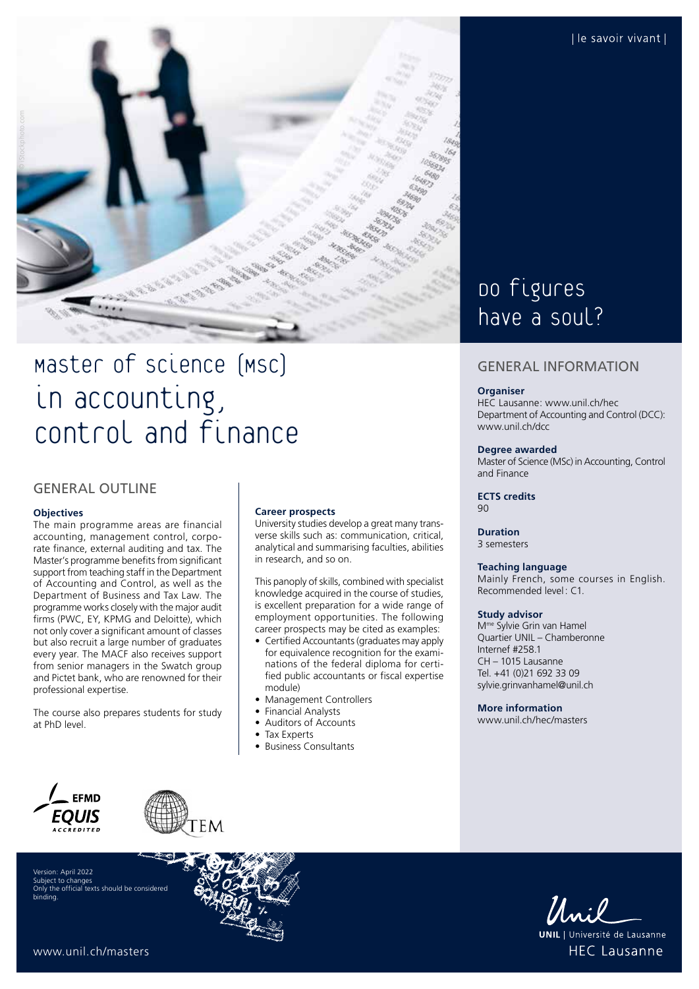

# Master of Science (MSc) in accounting, Control and finance

## GENERAL OUTLINE

#### **Objectives**

The main programme areas are financial accounting, management control, corporate finance, external auditing and tax. The Master's programme benefits from significant support from teaching staff in the Department of Accounting and Control, as well as the Department of Business and Tax Law. The programme works closely with the major audit firms (PWC, EY, KPMG and Deloitte), which not only cover a significant amount of classes but also recruit a large number of graduates every year. The MACF also receives support from senior managers in the Swatch group and Pictet bank, who are renowned for their professional expertise.

The course also prepares students for study at PhD level.

#### **Career prospects**

University studies develop a great many transverse skills such as: communication, critical, analytical and summarising faculties, abilities in research, and so on.

This panoply of skills, combined with specialist knowledge acquired in the course of studies, is excellent preparation for a wide range of employment opportunities. The following career prospects may be cited as examples:

- Certified Accountants (graduates may apply for equivalence recognition for the examinations of the federal diploma for certified public accountants or fiscal expertise module)
- Management Controllers
- Financial Analysts
- Auditors of Accounts
- Tax Experts
- Business Consultants

## Do figures have a soul?

### GENERAL INFORMATION

#### **Organiser**

HEC Lausanne: [www.unil.ch/hec](http://www.unil.ch/hec) Department of Accounting and Control (DCC): [www.unil.ch/dcc](http://www.unil.ch/dcc)

#### **Degree awarded**

Master of Science (MSc) in Accounting, Control and Finance

**ECTS credits** 90

#### **Duration**

3 semesters

#### **Teaching language**

Mainly French, some courses in English. Recommended level: C1.

#### **Study advisor**

Mme Sylvie Grin van Hamel Quartier UNIL – Chamberonne Internef #258.1 CH – 1015 Lausanne Tel. +41 (0)21 692 33 09 [sylvie.grinvanhamel@unil.ch](mailto:sylvie.grinvanhamel@unil.ch)

#### **More information**

[www.unil.ch/hec/masters](http://www.unil.ch/hec/masters)



Version: April 2022 Subject to changes Only the official texts should be considered binding.